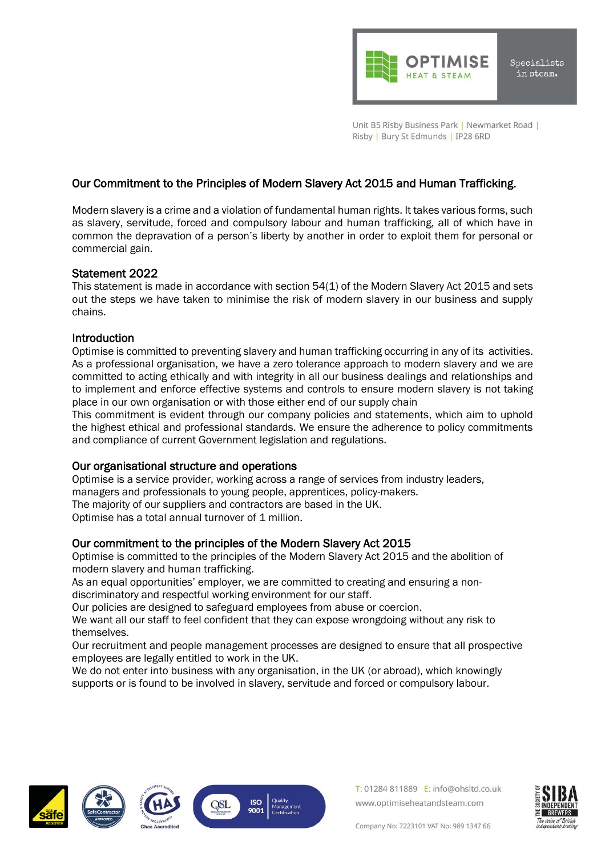

Unit B5 Risby Business Park | Newmarket Road | Risby | Bury St Edmunds | IP28 6RD

# Our Commitment to the Principles of Modern Slavery Act 2015 and Human Trafficking.

Modern slavery is a crime and a violation of fundamental human rights. It takes various forms, such as slavery, servitude, forced and compulsory labour and human trafficking, all of which have in common the depravation of a person's liberty by another in order to exploit them for personal or commercial gain.

### Statement 2022

This statement is made in accordance with section 54(1) of the Modern Slavery Act 2015 and sets out the steps we have taken to minimise the risk of modern slavery in our business and supply chains.

# **Introduction**

Optimise is committed to preventing slavery and human trafficking occurring in any of its activities. As a professional organisation, we have a zero tolerance approach to modern slavery and we are committed to acting ethically and with integrity in all our business dealings and relationships and to implement and enforce effective systems and controls to ensure modern slavery is not taking place in our own organisation or with those either end of our supply chain

This commitment is evident through our company policies and statements, which aim to uphold the highest ethical and professional standards. We ensure the adherence to policy commitments and compliance of current Government legislation and regulations.

# Our organisational structure and operations

Optimise is a service provider, working across a range of services from industry leaders, managers and professionals to young people, apprentices, policy-makers. The majority of our suppliers and contractors are based in the UK. Optimise has a total annual turnover of 1 million.

# Our commitment to the principles of the Modern Slavery Act 2015

Optimise is committed to the principles of the Modern Slavery Act 2015 and the abolition of modern slavery and human trafficking.

As an equal opportunities' employer, we are committed to creating and ensuring a nondiscriminatory and respectful working environment for our staff.

Our policies are designed to safeguard employees from abuse or coercion.

We want all our staff to feel confident that they can expose wrongdoing without any risk to themselves.

Our recruitment and people management processes are designed to ensure that all prospective employees are legally entitled to work in the UK.

We do not enter into business with any organisation, in the UK (or abroad), which knowingly supports or is found to be involved in slavery, servitude and forced or compulsory labour.







T: 01284 811889 E: info@ohsltd.co.uk www.optimiseheatandsteam.com